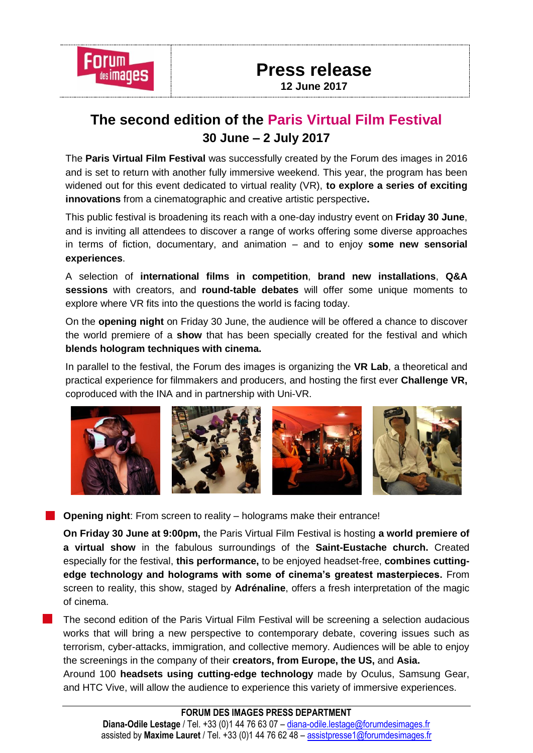

## **Press release 12 June 2017**

# **The second edition of the Paris Virtual Film Festival 30 June – 2 July 2017**

The **Paris Virtual Film Festival** was successfully created by the Forum des images in 2016 and is set to return with another fully immersive weekend. This year, the program has been widened out for this event dedicated to virtual reality (VR), **to explore a series of exciting innovations** from a cinematographic and creative artistic perspective**.**

This public festival is broadening its reach with a one-day industry event on **Friday 30 June**, and is inviting all attendees to discover a range of works offering some diverse approaches in terms of fiction, documentary, and animation – and to enjoy **some new sensorial experiences**.

A selection of **international films in competition**, **brand new installations**, **Q&A sessions** with creators, and **round-table debates** will offer some unique moments to explore where VR fits into the questions the world is facing today.

On the **opening night** on Friday 30 June, the audience will be offered a chance to discover the world premiere of a **show** that has been specially created for the festival and which **blends hologram techniques with cinema.**

In parallel to the festival, the Forum des images is organizing the **VR Lab**, a theoretical and practical experience for filmmakers and producers, and hosting the first ever **Challenge VR,** coproduced with the INA and in partnership with Uni-VR.



**Copening night:** From screen to reality – holograms make their entrance!

**On Friday 30 June at 9:00pm,** the Paris Virtual Film Festival is hosting **a world premiere of a virtual show** in the fabulous surroundings of the **Saint-Eustache church.** Created especially for the festival, **this performance,** to be enjoyed headset-free, **combines cuttingedge technology and holograms with some of cinema's greatest masterpieces.** From screen to reality, this show, staged by **Adrénaline**, offers a fresh interpretation of the magic of cinema.

The second edition of the Paris Virtual Film Festival will be screening a selection audacious works that will bring a new perspective to contemporary debate, covering issues such as terrorism, cyber-attacks, immigration, and collective memory. Audiences will be able to enjoy the screenings in the company of their **creators, from Europe, the US,** and **Asia.**

Around 100 **headsets using cutting-edge technology** made by Oculus, Samsung Gear, and HTC Vive, will allow the audience to experience this variety of immersive experiences.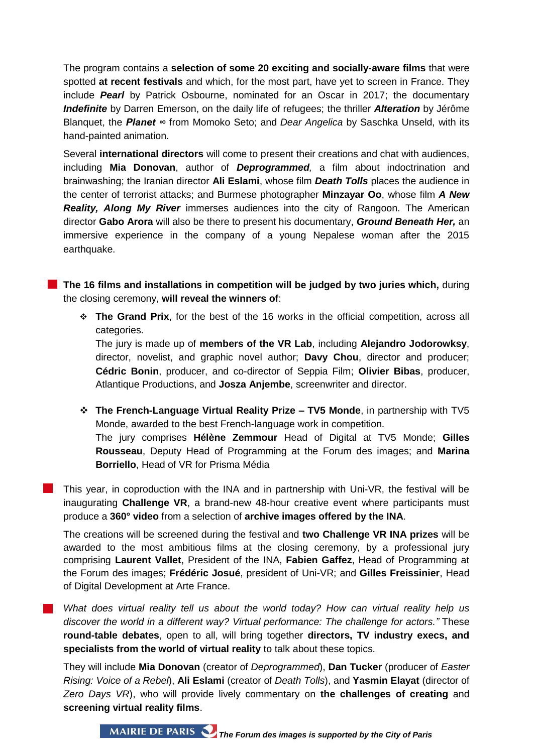The program contains a **selection of some 20 exciting and socially-aware films** that were spotted **at recent festivals** and which, for the most part, have yet to screen in France. They include *Pearl* by Patrick Osbourne, nominated for an Oscar in 2017; the documentary *Indefinite* by Darren Emerson, on the daily life of refugees; the thriller *Alteration* by Jérôme Blanquet, the *Planet ∞* from Momoko Seto; and *Dear Angelica* by Saschka Unseld, with its hand-painted animation.

Several **international directors** will come to present their creations and chat with audiences, including **Mia Donovan**, author of *Deprogrammed,* a film about indoctrination and brainwashing; the Iranian director **Ali Eslami**, whose film *Death Tolls* places the audience in the center of terrorist attacks; and Burmese photographer **Minzayar Oo**, whose film *A New Reality, Along My River* immerses audiences into the city of Rangoon. The American director **Gabo Arora** will also be there to present his documentary, *Ground Beneath Her,* an immersive experience in the company of a young Nepalese woman after the 2015 earthquake.

**The 16 films and installations in competition will be judged by two juries which,** during the closing ceremony, **will reveal the winners of**:

 **The Grand Prix**, for the best of the 16 works in the official competition, across all categories.

The jury is made up of **members of the VR Lab**, including **Alejandro Jodorowksy**, director, novelist, and graphic novel author; **Davy Chou**, director and producer; **Cédric Bonin**, producer, and co-director of Seppia Film; **Olivier Bibas**, producer, Atlantique Productions, and **Josza Anjembe**, screenwriter and director.

 **The French-Language Virtual Reality Prize – TV5 Monde**, in partnership with TV5 Monde, awarded to the best French-language work in competition. The jury comprises **Hélène Zemmour** Head of Digital at TV5 Monde; **Gilles Rousseau**, Deputy Head of Programming at the Forum des images; and **Marina Borriello**, Head of VR for Prisma Média

This year, in coproduction with the INA and in partnership with Uni-VR, the festival will be inaugurating **Challenge VR**, a brand-new 48-hour creative event where participants must produce a **360° video** from a selection of **archive images offered by the INA**.

The creations will be screened during the festival and **two Challenge VR INA prizes** will be awarded to the most ambitious films at the closing ceremony, by a professional jury comprising **Laurent Vallet**, President of the INA, **Fabien Gaffez**, Head of Programming at the Forum des images; **Frédéric Josué**, president of Uni-VR; and **Gilles Freissinier**, Head of Digital Development at Arte France.

*What does virtual reality tell us about the world today? How can virtual reality help us discover the world in a different way? Virtual performance: The challenge for actors."* These **round-table debates**, open to all, will bring together **directors, TV industry execs, and specialists from the world of virtual reality** to talk about these topics.

They will include **Mia Donovan** (creator of *Deprogrammed*), **Dan Tucker** (producer of *Easter Rising: Voice of a Rebel*), **Ali Eslami** (creator of *Death Tolls*), and **Yasmin Elayat** (director of *Zero Days VR*), who will provide lively commentary on **the challenges of creating** and **screening virtual reality films**.